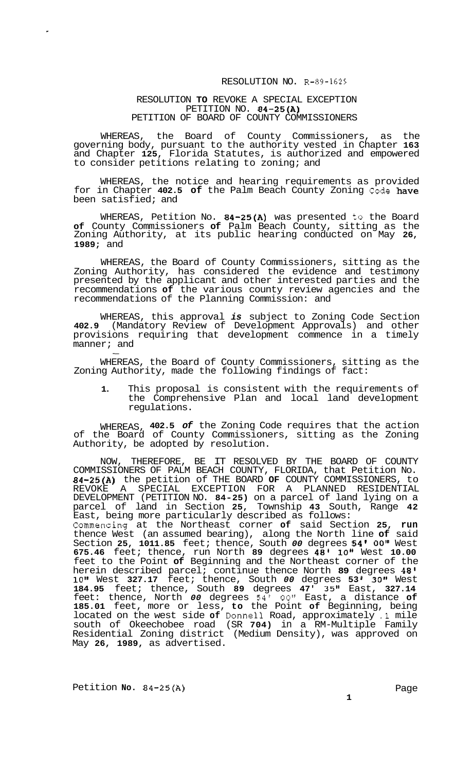## RESOLUTION NO. R-89-1625

## RESOLUTION **TO** REVOKE A SPECIAL EXCEPTION PETITION NO. **84-25(A)**  PETITION OF BOARD OF COUNTY COMMISSIONERS

WHEREAS, the Board of County Commissioners, as the governing body, pursuant to the authority vested in Chapter **163**  and Chapter **125,** Florida Statutes, is authorized and empowered to consider petitions relating to zoning; and

WHEREAS, the notice and hearing requirements as provided for in Chapter **402.5 of** the Palm Beach County Zoning Code have been satisfied; and

WHEREAS, Petition No. **84-25(A)** was presented to the Board **of** County Commissioners **of** Palm Beach County, sitting as the Zoning Authority, at its public hearing conducted on May **26, 1989;** and

WHEREAS, the Board of County Commissioners, sitting as the Zoning Authority, has considered the evidence and testimony presented by the applicant and other interested parties and the recommendations **of** the various county review agencies and the recommendations of the Planning Commission: and

WHEREAS, this approval *is* subject to Zoning Code Section **402.9** (Mandatory Review of Development Approvals) and other provisions requiring that development commence in a timely manner; and -

WHEREAS, the Board of County Commissioners, sitting as the Zoning Authority, made the following findings of fact:

**1.** This proposal is consistent with the requirements of the Comprehensive Plan and local land development regulations.

WHEREAS, **402.5** *of* the Zoning Code requires that the action of the Board of County Commissioners, sitting as the Zoning Authority, be adopted by resolution.

NOW, THEREFORE, BE IT RESOLVED BY THE BOARD OF COUNTY COMMISSIONERS OF PALM BEACH COUNTY, FLORIDA, that Petition No. **84-25(A)** the petition of THE BOARD **OF** COUNTY COMMISSIONERS, to REVOKE A SPECIAL EXCEPTION FOR A PLANNED RESIDENTIAL DEVELOPMENT (PETITION NO. **84-25)** on a parcel of land lying on a parcel of land in Section **25,** Township **43** South, Range **42**  East, being more particularly described as follows: Commencing at the Northeast corner **of** said Section **25, run**  thence West (an assumed bearing), along the North line **of** said Section **25, 1011.85** feet; thence, South *00* degrees **54'** *00"* West **675.46** feet; thence, run North **89** degrees **48' 10"** West **10.00**  feet to the Point **of** Beginning and the Northeast corner of the herein described parcel; continue thence North **89** degrees **48' 10"** West **327.17** feet; thence, South *00* degrees **53 I 30Is** West **184.95** feet; thence, South **89** degrees **47' 35"** East, **327.14**  feet: thence, North *00* degrees 54' 00" East, a distance of **185.01** feet, more or less, **to** the Point **of** Beginning, being located on the west side **of** Donne11 Road, approximately **.1** mile south of Okeechobee road (SR **704)** in a RM-Multiple Family Residential Zoning district (Medium Density), was approved on May **26, 1989,** as advertised.

Petition **No.** 84-25(A) **Page**